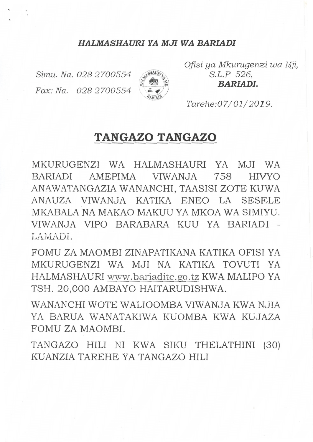#### *HALMASHAURI YA MJI WA BARIADI*

Simu. Na. 028 2700554 Fax: Na. 028 2700554



*Ofisi ya Mkurugenzi wa Mji, S.L.P 526, BARIADI.*

*Tarehe:07/01/2019.*

# **TANGAZO TANGAZO**

MKURUGENZI WA HALMASHAURI YA MJI WA BARIADI AMEPIMA VIWANJA 758 HIVYO ANAWATANGAZIA WANANCHI, TAASISI ZOTE KUWA ANAUZA VIWANJA KATIKA ENEO LA SESELE MKABALA NA MAKAO MAKUU YA MKOA WA SIMIYU. VIWANJA VIPO BARABARA KUU YA BARIADI - AMADI

FOMU ZA MAOMBI ZINAPATIKANA KATlKA OFISI YA MKURUGENZI WA MJI NA KATlKA TOVUTI YA HALMASHAURI www.bariaditc.go.tz KWA MALIPO YA TSH. 20,000 AMBAYO HAITARUDISHWA.

WANANCHI WOTE WALIOOMBA VIWANJA KWA NJIA YA BARUA WANATAKIWA KUOMBA KWA KUJAZA FOMU ZA MAOMBI.

TANGAZO HILI NI KWA SIKU THELATHINI (30) KUANZIA TAREHE YA TANGAZO HILI